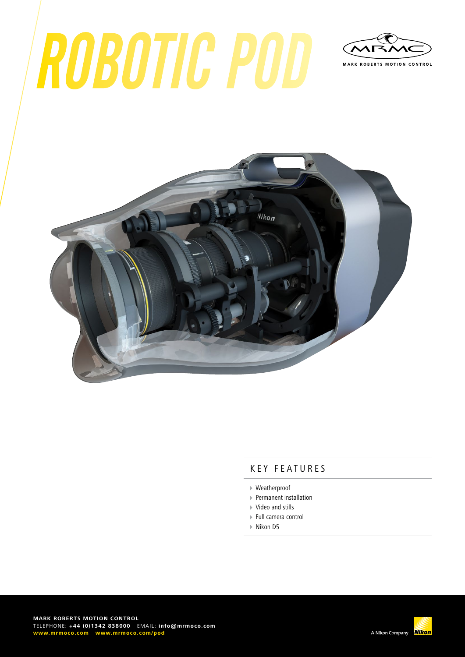# ROBOTIC POD





#### KEY FEATURES

- Weatherproof
- Permanent installation
- Video and stills
- Full camera control
- ▶ Nikon D5

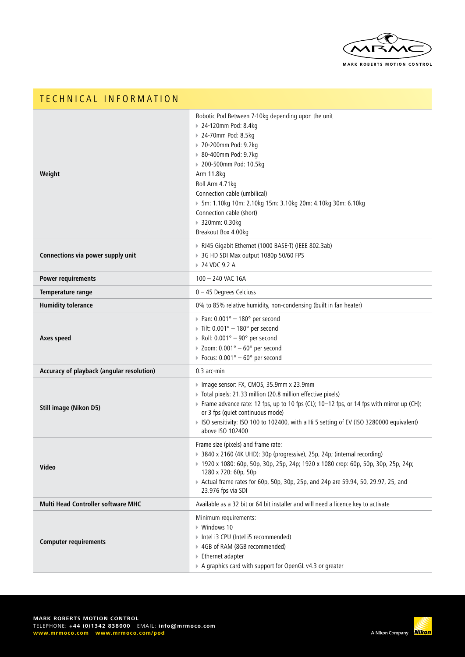

| TECHNICAL INFORMATION                     |                                                                                                                                                                                                                                                                                                                                                                                         |
|-------------------------------------------|-----------------------------------------------------------------------------------------------------------------------------------------------------------------------------------------------------------------------------------------------------------------------------------------------------------------------------------------------------------------------------------------|
| Weight                                    | Robotic Pod Between 7-10kg depending upon the unit<br>▶ 24-120mm Pod: 8.4kg<br>▶ 24-70mm Pod: 8.5kg<br>▶ 70-200mm Pod: 9.2kg<br>▶ 80-400mm Pod: 9.7kg<br>▶ 200-500mm Pod: 10.5kg<br>Arm 11.8kg<br>Roll Arm 4.71kg<br>Connection cable (umbilical)<br>▶ 5m: 1.10kg 10m: 2.10kg 15m: 3.10kg 20m: 4.10kg 30m: 6.10kg<br>Connection cable (short)<br>▶ 320mm: 0.30kg<br>Breakout Box 4.00kg |
| Connections via power supply unit         | RJ45 Gigabit Ethernet (1000 BASE-T) (IEEE 802.3ab)<br>▶ 3G HD SDI Max output 1080p 50/60 FPS<br>▶ 24 VDC 9.2 A                                                                                                                                                                                                                                                                          |
| <b>Power requirements</b>                 | 100 - 240 VAC 16A                                                                                                                                                                                                                                                                                                                                                                       |
| Temperature range                         | $0 - 45$ Degrees Celciuss                                                                                                                                                                                                                                                                                                                                                               |
| <b>Humidity tolerance</b>                 | 0% to 85% relative humidity, non-condensing (built in fan heater)                                                                                                                                                                                                                                                                                                                       |
| Axes speed                                | Pan: $0.001^{\circ} - 180^{\circ}$ per second<br>Tilt: $0.001^\circ - 180^\circ$ per second<br>Roll: $0.001^{\circ} - 90^{\circ}$ per second<br>$\triangleright$ Zoom: 0.001° - 60° per second<br>Focus: $0.001^{\circ} - 60^{\circ}$ per second                                                                                                                                        |
| Accuracy of playback (angular resolution) | 0.3 arc-min                                                                                                                                                                                                                                                                                                                                                                             |
| <b>Still image (Nikon D5)</b>             | ▶ Image sensor: FX, CMOS, 35.9mm x 23.9mm<br>> Total pixels: 21.33 million (20.8 million effective pixels)<br>Frame advance rate: 12 fps, up to 10 fps (CL); 10-12 fps, or 14 fps with mirror up (CH);<br>or 3 fps (quiet continuous mode)<br>▶ ISO sensitivity: ISO 100 to 102400, with a Hi 5 setting of EV (ISO 3280000 equivalent)<br>above ISO 102400                              |
| Video                                     | Frame size (pixels) and frame rate:<br>> 3840 x 2160 (4K UHD): 30p (progressive), 25p, 24p; (internal recording)<br>▶ 1920 x 1080: 60p, 50p, 30p, 25p, 24p; 1920 x 1080 crop: 60p, 50p, 30p, 25p, 24p;<br>1280 x 720: 60p, 50p<br>> Actual frame rates for 60p, 50p, 30p, 25p, and 24p are 59.94, 50, 29.97, 25, and<br>23.976 fps via SDI                                              |
| Multi Head Controller software MHC        | Available as a 32 bit or 64 bit installer and will need a licence key to activate                                                                                                                                                                                                                                                                                                       |
| <b>Computer requirements</b>              | Minimum requirements:<br>▶ Windows 10<br>▶ Intel i3 CPU (Intel i5 recommended)<br>▶ 4GB of RAM (8GB recommended)<br>▶ Ethernet adapter<br>A graphics card with support for OpenGL v4.3 or greater                                                                                                                                                                                       |

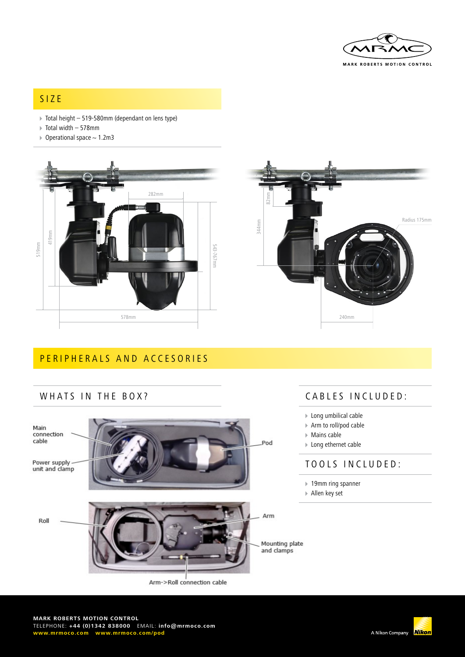

## SIZE

- $\triangleright$  Total height 519-580mm (dependant on lens type)
- Total width 578mm
- $\triangleright$  Operational space  $\sim$  1.2m3





## PERIPHERALS AND ACCESORIES

#### WHATS IN THE BOX?



# CABLES INCLUDED:

- Long umbilical cable
- Arm to roll/pod cable
- Mains cable
- ▶ Long ethernet cable

#### TOOLS INCLUDED:

- ▶ 19mm ring spanner
- Allen key set

Mounting plate<br>and clamps